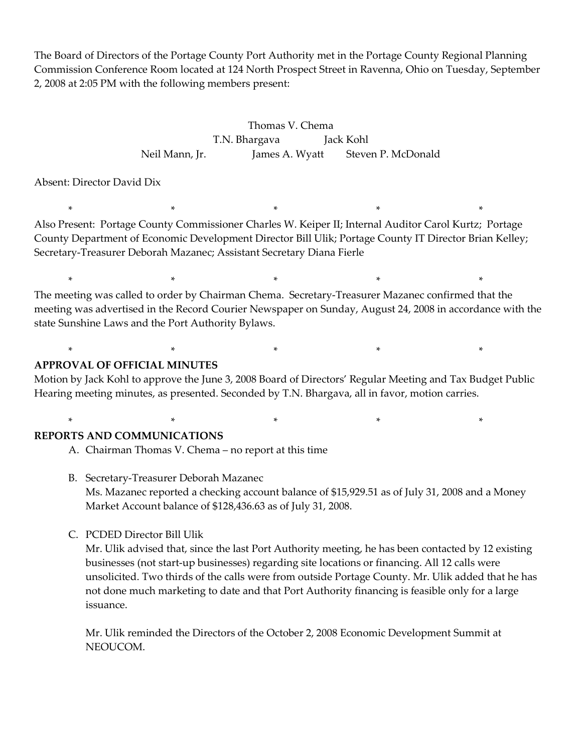The Board of Directors of the Portage County Port Authority met in the Portage County Regional Planning Commission Conference Room located at 124 North Prospect Street in Ravenna, Ohio on Tuesday, September 2, 2008 at 2:05 PM with the following members present:

> Thomas V. Chema T.N. Bhargava Jack Kohl Neil Mann, Jr. James A. Wyatt Steven P. McDonald

Absent: Director David Dix

\* \* \* \* \* Also Present: Portage County Commissioner Charles W. Keiper II; Internal Auditor Carol Kurtz; Portage County Department of Economic Development Director Bill Ulik; Portage County IT Director Brian Kelley; Secretary-Treasurer Deborah Mazanec; Assistant Secretary Diana Fierle

\* \* \* \* \* The meeting was called to order by Chairman Chema. Secretary-Treasurer Mazanec confirmed that the meeting was advertised in the Record Courier Newspaper on Sunday, August 24, 2008 in accordance with the state Sunshine Laws and the Port Authority Bylaws.

### **APPROVAL OF OFFICIAL MINUTES**

Motion by Jack Kohl to approve the June 3, 2008 Board of Directors' Regular Meeting and Tax Budget Public Hearing meeting minutes, as presented. Seconded by T.N. Bhargava, all in favor, motion carries.

\* \* \* \* \*

#### \* \* \* \* \* **REPORTS AND COMMUNICATIONS**

A. Chairman Thomas V. Chema – no report at this time

- B. Secretary-Treasurer Deborah Mazanec Ms. Mazanec reported a checking account balance of \$15,929.51 as of July 31, 2008 and a Money Market Account balance of \$128,436.63 as of July 31, 2008.
- C. PCDED Director Bill Ulik

Mr. Ulik advised that, since the last Port Authority meeting, he has been contacted by 12 existing businesses (not start-up businesses) regarding site locations or financing. All 12 calls were unsolicited. Two thirds of the calls were from outside Portage County. Mr. Ulik added that he has not done much marketing to date and that Port Authority financing is feasible only for a large issuance.

Mr. Ulik reminded the Directors of the October 2, 2008 Economic Development Summit at NEOUCOM.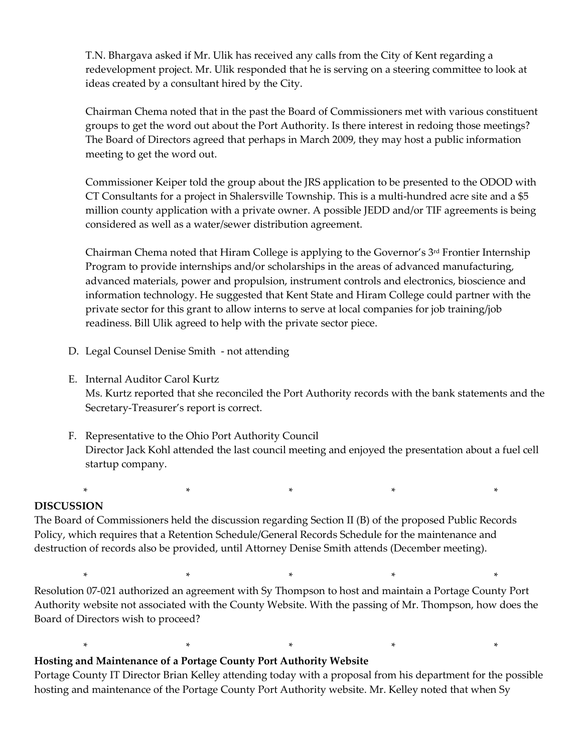T.N. Bhargava asked if Mr. Ulik has received any calls from the City of Kent regarding a redevelopment project. Mr. Ulik responded that he is serving on a steering committee to look at ideas created by a consultant hired by the City.

Chairman Chema noted that in the past the Board of Commissioners met with various constituent groups to get the word out about the Port Authority. Is there interest in redoing those meetings? The Board of Directors agreed that perhaps in March 2009, they may host a public information meeting to get the word out.

Commissioner Keiper told the group about the JRS application to be presented to the ODOD with CT Consultants for a project in Shalersville Township. This is a multi-hundred acre site and a \$5 million county application with a private owner. A possible JEDD and/or TIF agreements is being considered as well as a water/sewer distribution agreement.

Chairman Chema noted that Hiram College is applying to the Governor's 3rd Frontier Internship Program to provide internships and/or scholarships in the areas of advanced manufacturing, advanced materials, power and propulsion, instrument controls and electronics, bioscience and information technology. He suggested that Kent State and Hiram College could partner with the private sector for this grant to allow interns to serve at local companies for job training/job readiness. Bill Ulik agreed to help with the private sector piece.

- D. Legal Counsel Denise Smith not attending
- E. Internal Auditor Carol Kurtz Ms. Kurtz reported that she reconciled the Port Authority records with the bank statements and the Secretary-Treasurer's report is correct.
- F. Representative to the Ohio Port Authority Council Director Jack Kohl attended the last council meeting and enjoyed the presentation about a fuel cell startup company.

# **DISCUSSION**

The Board of Commissioners held the discussion regarding Section II (B) of the proposed Public Records Policy, which requires that a Retention Schedule/General Records Schedule for the maintenance and destruction of records also be provided, until Attorney Denise Smith attends (December meeting).

\* \* \* \* \*

\* \* \* \* \* Resolution 07-021 authorized an agreement with Sy Thompson to host and maintain a Portage County Port Authority website not associated with the County Website. With the passing of Mr. Thompson, how does the Board of Directors wish to proceed?

**Hosting and Maintenance of a Portage County Port Authority Website**

Portage County IT Director Brian Kelley attending today with a proposal from his department for the possible hosting and maintenance of the Portage County Port Authority website. Mr. Kelley noted that when Sy

\* \* \* \* \*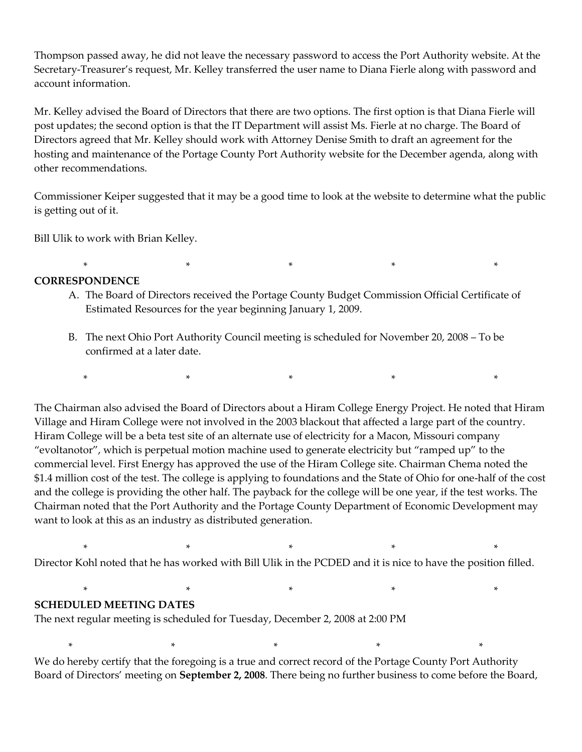Thompson passed away, he did not leave the necessary password to access the Port Authority website. At the Secretary-Treasurer's request, Mr. Kelley transferred the user name to Diana Fierle along with password and account information.

Mr. Kelley advised the Board of Directors that there are two options. The first option is that Diana Fierle will post updates; the second option is that the IT Department will assist Ms. Fierle at no charge. The Board of Directors agreed that Mr. Kelley should work with Attorney Denise Smith to draft an agreement for the hosting and maintenance of the Portage County Port Authority website for the December agenda, along with other recommendations.

Commissioner Keiper suggested that it may be a good time to look at the website to determine what the public is getting out of it.

Bill Ulik to work with Brian Kelley.

# **CORRESPONDENCE**

A. The Board of Directors received the Portage County Budget Commission Official Certificate of Estimated Resources for the year beginning January 1, 2009.

\* \* \* \* \*

B. The next Ohio Port Authority Council meeting is scheduled for November 20, 2008 – To be confirmed at a later date.

\* \* \* \* \*

The Chairman also advised the Board of Directors about a Hiram College Energy Project. He noted that Hiram Village and Hiram College were not involved in the 2003 blackout that affected a large part of the country. Hiram College will be a beta test site of an alternate use of electricity for a Macon, Missouri company "evoltanotor", which is perpetual motion machine used to generate electricity but "ramped up" to the commercial level. First Energy has approved the use of the Hiram College site. Chairman Chema noted the \$1.4 million cost of the test. The college is applying to foundations and the State of Ohio for one-half of the cost and the college is providing the other half. The payback for the college will be one year, if the test works. The Chairman noted that the Port Authority and the Portage County Department of Economic Development may want to look at this as an industry as distributed generation.

Director Kohl noted that he has worked with Bill Ulik in the PCDED and it is nice to have the position filled.

\* \* \* \* \*

\* \* \* \* \*

#### **SCHEDULED MEETING DATES**

The next regular meeting is scheduled for Tuesday, December 2, 2008 at 2:00 PM

We do hereby certify that the foregoing is a true and correct record of the Portage County Port Authority Board of Directors' meeting on **September 2, 2008**. There being no further business to come before the Board,

\* \* \* \* \*